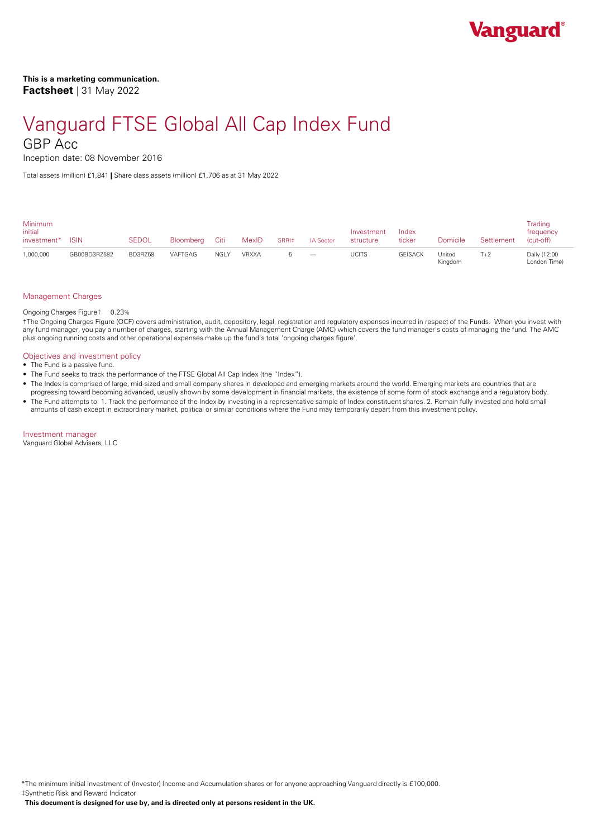# Vanguard FTSE Global All Cap Index Fund

# GBP Acc

Inception date: 08 November 2016

Total assets (million) £1,841 **|** Share class assets (million) £1,706 as at 31 May 2022

| Minimum<br>initial<br>investment* | <b>ISIN</b>  | <b>SEDOL</b> | Bloomberg Citi |      | MexID | SRRI <sup>#</sup> | <b>IA Sector</b>                | Investment<br>structure | Index<br>ticker | Domicile          | Settlement | Trading<br>frequency<br>(cut-off) |
|-----------------------------------|--------------|--------------|----------------|------|-------|-------------------|---------------------------------|-------------------------|-----------------|-------------------|------------|-----------------------------------|
| 1,000,000                         | GB00BD3RZ582 | BD3RZ58      | VAFTGAG        | NGLY | VRXXA |                   | $\hspace{0.1mm}-\hspace{0.1mm}$ | <b>UCITS</b>            | <b>GEISACK</b>  | United<br>Kingdom | $T+2$      | Daily (12:00<br>London Time)      |

# Management Charges

Ongoing Charges Figure† 0.23%

†The Ongoing Charges Figure (OCF) covers administration, audit, depository, legal, registration and regulatory expenses incurred in respect of the Funds. When you invest with any fund manager, you pay a number of charges, starting with the Annual Management Charge (AMC) which covers the fund manager's costs of managing the fund. The AMC plus ongoing running costs and other operational expenses make up the fund's total 'ongoing charges figure'.

# Objectives and investment policy

- The Fund is a passive fund.
- The Fund seeks to track the performance of the FTSE Global All Cap Index (the "Index").
- The Index is comprised of large, mid-sized and small company shares in developed and emerging markets around the world. Emerging markets are countries that are progressing toward becoming advanced, usually shown by some development in financial markets, the existence of some form of stock exchange and a regulatory body.
- The Fund attempts to: 1. Track the performance of the Index by investing in a representative sample of Index constituent shares. 2. Remain fully invested and hold small amounts of cash except in extraordinary market, political or similar conditions where the Fund may temporarily depart from this investment policy.

Investment manager

Vanguard Global Advisers, LLC

\*The minimum initial investment of (Investor) Income and Accumulation shares or for anyone approaching Vanguard directly is £100,000. ‡Synthetic Risk and Reward Indicator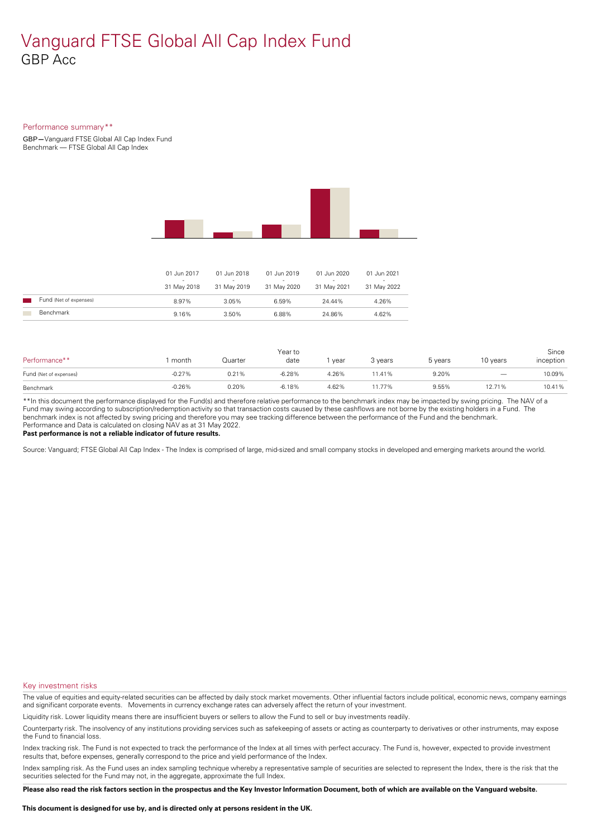# Vanguard FTSE Global All Cap Index Fund GBP Acc

# Performance summary\*\*

GBP**—**Vanguard FTSE GlobalAll Cap Index Fund Benchmark — FTSE Global All Cap Index



|                        | 01 Jun 2017<br>31 May 2018 | 01 Jun 2018<br>31 May 2019 | 01 Jun 2019<br>$\overline{\phantom{a}}$<br>31 May 2020 | 01 Jun 2020<br>$\overline{\phantom{a}}$<br>31 May 2021 | 01 Jun 2021<br>-<br>31 May 2022 |
|------------------------|----------------------------|----------------------------|--------------------------------------------------------|--------------------------------------------------------|---------------------------------|
| Fund (Net of expenses) | 8.97%                      | 3.05%                      | 6.59%                                                  | 24.44%                                                 | 4.26%                           |
| Benchmark              | 9.16%                      | 3.50%                      | 6.88%                                                  | 24.86%                                                 | 4.62%                           |

| Performance**          | month    | Quarter  | Year to<br>date | year  | 3 years | 5 years | 10 years | Since<br>inception |
|------------------------|----------|----------|-----------------|-------|---------|---------|----------|--------------------|
| Fund (Net of expenses) | $-0.27%$ | $0.21\%$ | $-6.28%$        | 4.26% | 1.41%   | 9.20%   |          | 10.09%             |
| Benchmark              | $-0.26%$ | 0.20%    | $-6.18%$        | 4.62% | 1.77%   | 9.55%   | 12.71%   | 10.41%             |

\*\*In this document the performance displayed for the Fund(s) and therefore relative performance to the benchmark index may be impacted by swing pricing. The NAV of a Fund may swing according to subscription/redemption activity so that transaction costs caused by these cashflows are notborne by the existing holders in a Fund. The benchmark index is not affected by swing pricing and therefore you may see tracking difference between the performance of the Fund and the benchmark. Performance and Data is calculated on closing NAV as at 31 May 2022.

**Past performance is not a reliable indicator of future results.**

Source: Vanguard; FTSE Global All Cap Index - The Index is comprised of large, mid-sized and small company stocks in developed and emerging markets around the world.

# Key investment risks

The value of equities and equity-related securities can be affected by daily stock market movements. Other influential factors include political, economic news, company earnings and significant corporate events. Movements in currency exchange rates can adversely affect the return of your investment.

Liquidity risk. Lower liquidity means there are insufficient buyers or sellers to allow the Fund to sell or buy investments readily.

Counterparty risk. The insolvency ofany institutions providing services such as safekeeping of assets or acting as counterparty to derivatives or other instruments, may expose the Fund to financial loss.

Index tracking risk.The Fund is not expected to track the performance of the Index at all times with perfect accuracy. The Fund is, however, expected to provide investment results that, before expenses, generally correspond to the price and yield performance of the Index.

Index sampling risk. As the Fund uses an index sampling technique whereby a representative sample of securities are selected to represent the Index, there is the risk that the securities selected for the Fund may not, in the aggregate, approximate the full Index.

Please also read the risk factors section in the prospectus and the Key Investor Information Document, both of which are available on the Vanguard website.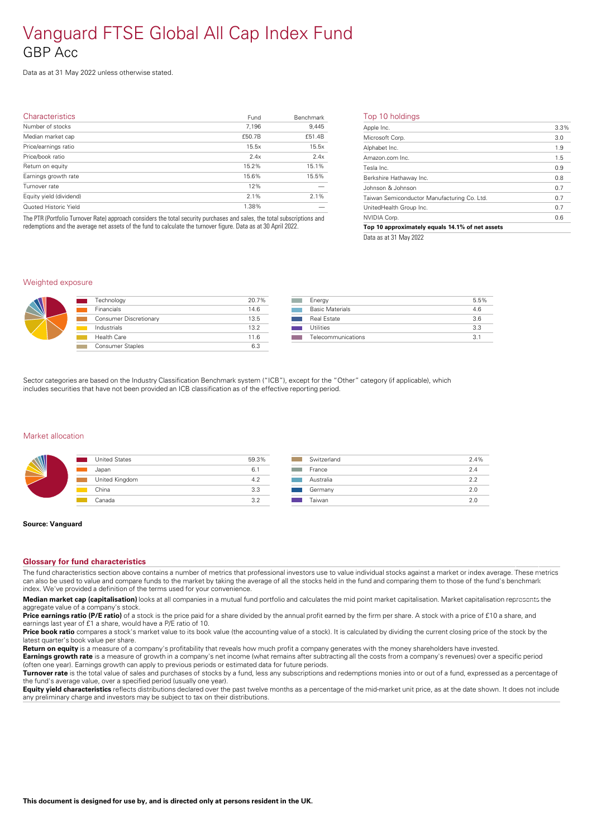# Vanguard FTSE Global All Cap Index Fund GBP Acc

Data as at 31 May 2022 unless otherwise stated.

| <b>Characteristics</b>  | Fund   | Benchmark | т                        |
|-------------------------|--------|-----------|--------------------------|
| Number of stocks        | 7,196  | 9,445     | A                        |
| Median market cap       | £50.7B | £51.4B    | $\overline{\phantom{a}}$ |
| Price/earnings ratio    | 15.5x  | 15.5x     | $\mathsf{A}$             |
| Price/book ratio        | 2.4x   | 2.4x      | $\overline{A}$           |
| Return on equity        | 15.2%  | 15.1%     | Tε                       |
| Earnings growth rate    | 15.6%  | 15.5%     | B                        |
| Turnover rate           | 12%    |           | Jc                       |
| Equity yield (dividend) | 2.1%   | 2.1%      | Τa                       |
| Quoted Historic Yield   | 1.38%  |           | U                        |
|                         |        |           |                          |

The PTR (Portfolio Turnover Rate) approach considers the total security purchases and sales, the total subscriptions and redemptions and the average net assets of the fund to calculate the turnover figure. Data as at 30 April 2022.

## Top 10 holdings

| Apple Inc.                                      | 3.3% |
|-------------------------------------------------|------|
| Microsoft Corp.                                 | 3.0  |
| Alphabet Inc.                                   | 1.9  |
| Amazon.com Inc.                                 | 1.5  |
| Tesla Inc.                                      | 0.9  |
| Berkshire Hathaway Inc.                         | 0.8  |
| Johnson & Johnson                               | 0.7  |
| Taiwan Semiconductor Manufacturing Co. Ltd.     | 0.7  |
| UnitedHealth Group Inc.                         | 0.7  |
| NVIDIA Corp.                                    | 0.6  |
| Top 10 approximately equals 14.1% of net assets |      |
|                                                 |      |

Data as at 31 May 2022

# Weighted exposure



| Technology             | 20.7% |
|------------------------|-------|
| <b>Financials</b>      | 14.6  |
| Consumer Discretionary | 13.5  |
| Industrials            | 13.2  |
| Health Care            | 11.6  |
| Consumer Staples       | 6.3   |
|                        |       |

| Energy                 | 5.5% |
|------------------------|------|
| <b>Basic Materials</b> | 46   |
| Real Estate            | 36   |
| Utilities              | 3.3  |
| Telecommunications     | 31   |

Sector categories are based on the Industry Classification Benchmark system ("ICB"), except for the "Other" category (if applicable), which includes securities that have not been provided an ICB classification as of the effective reporting period.

### Market allocation

| <b>United States</b><br>$\mathcal{L}(\mathcal{L})$ | 59.3% |  |
|----------------------------------------------------|-------|--|
| Japan                                              | 6.1   |  |
| United Kingdom                                     | 4.2   |  |
| China                                              | 3.3   |  |
| Canada                                             | 3.2   |  |
|                                                    |       |  |

| Switzerland | 2.4% |
|-------------|------|
| France      | 2.4  |
| Australia   | 2.2  |
| Germany     | 2.0  |
| Taiwan      | 2 O  |

#### **Source: Vanguard**

### **Glossary for fund characteristics**

The fund characteristics section above contains a number of metrics that professional investors use to value individual stocks against a market or index average. These metrics can also be used to value and compare funds to the market by taking the average of all the stocks held in the fund and comparing them to those of the fund's benchmark index. We've provided a definition of the terms used for your convenience.

**Median market cap (capitalisation)** looks at all companies in a mutual fund portfolio and calculates the mid point market capitalisation. Market capitalisation represents the aggregate value of a company's stock.

Price earnings ratio (P/E ratio) of a stock is the price paid for a share divided by the annual profit earned by the firm per share. A stock with a price of £10 a share, and earnings last year of £1 a share, would have a P/E ratio of 10.

**Price book ratio** compares a stock's market value to its book value (the accounting value of a stock). It is calculated by dividing the current closing price of the stock by the latest quarter's book value pershare.

**Return on equity** is a measure of a company's profitability that reveals how much profit a company generates with the money shareholders have invested.

**Earnings growth rate** is a measure of growth in a company's net income (what remains after subtracting all the costs from a company's revenues) over a specific period (often one year). Earnings growth can apply to previous periods or estimated data for future periods.

**Turnover rate** is the total value of sales and purchases of stocks by a fund, less any subscriptions and redemptions monies into or out of a fund, expressed as a percentage of the fund's average value, over a specified period (usually one year).

**Equity yield characteristics** reflects distributions declared over the past twelve months as a percentage of the mid-market unit price, as at the date shown. It does not include any preliminary charge and investors may be subject to tax on their distributions.